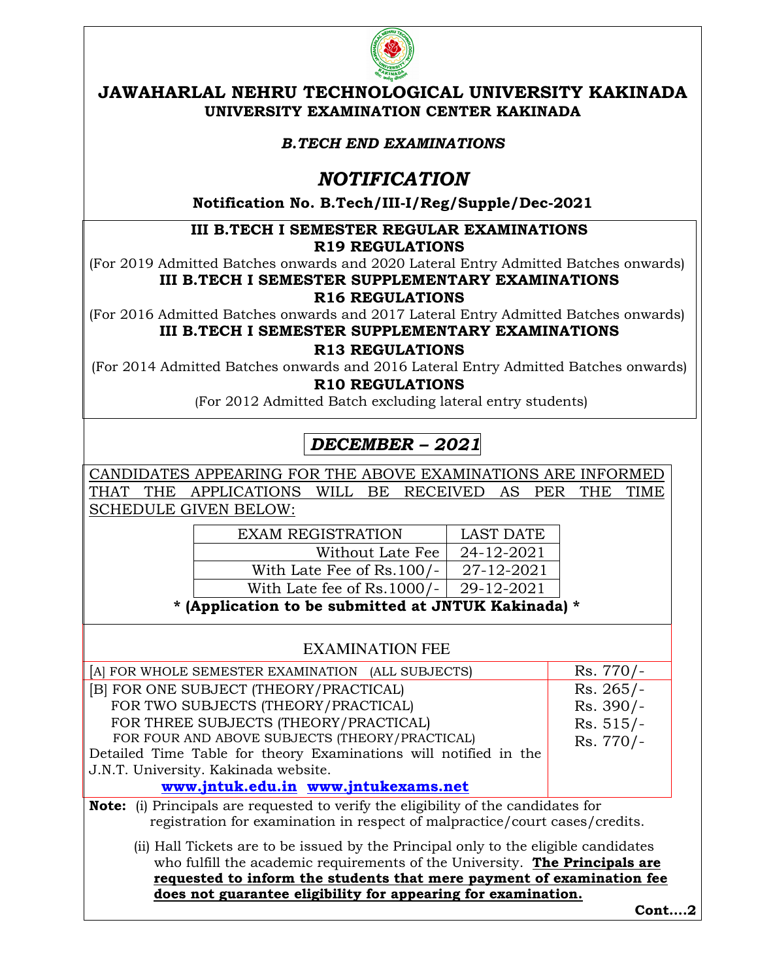

# JAWAHARLAL NEHRU TECHNOLOGICAL UNIVERSITY KAKINADA UNIVERSITY EXAMINATION CENTER KAKINADA

## B.TECH END EXAMINATIONS

# NOTIFICATION

Notification No. B.Tech/III-I/Reg/Supple/Dec-2021

# III B.TECH I SEMESTER REGULAR EXAMINATIONS

## R19 REGULATIONS

(For 2019 Admitted Batches onwards and 2020 Lateral Entry Admitted Batches onwards) III B.TECH I SEMESTER SUPPLEMENTARY EXAMINATIONS

## R16 REGULATIONS

(For 2016 Admitted Batches onwards and 2017 Lateral Entry Admitted Batches onwards) III B.TECH I SEMESTER SUPPLEMENTARY EXAMINATIONS

R13 REGULATIONS

(For 2014 Admitted Batches onwards and 2016 Lateral Entry Admitted Batches onwards)

#### R10 REGULATIONS

(For 2012 Admitted Batch excluding lateral entry students)

# DECEMBER – 2021

CANDIDATES APPEARING FOR THE ABOVE EXAMINATIONS ARE INFORMED THAT THE APPLICATIONS WILL BE RECEIVED AS PER THE TIME SCHEDULE GIVEN BELOW:

| <b>LAST DATE</b> |
|------------------|
| 24-12-2021       |
| 27-12-2021       |
| 29-12-2021       |
| _________ __ __  |

\* (Application to be submitted at JNTUK Kakinada) \*

## EXAMINATION FEE

| [A] FOR WHOLE SEMESTER EXAMINATION (ALL SUBJECTS)                                                                                                                                                                                | $Rs.770/-$  |  |
|----------------------------------------------------------------------------------------------------------------------------------------------------------------------------------------------------------------------------------|-------------|--|
| [B] FOR ONE SUBJECT (THEORY/PRACTICAL)                                                                                                                                                                                           | $Rs. 265/-$ |  |
| FOR TWO SUBJECTS (THEORY/PRACTICAL)                                                                                                                                                                                              | $Rs. 390/-$ |  |
| FOR THREE SUBJECTS (THEORY/PRACTICAL)                                                                                                                                                                                            | $Rs. 515/-$ |  |
| FOR FOUR AND ABOVE SUBJECTS (THEORY/PRACTICAL)                                                                                                                                                                                   | Rs. 770/-   |  |
| Detailed Time Table for theory Examinations will notified in the                                                                                                                                                                 |             |  |
| J.N.T. University. Kakinada website.                                                                                                                                                                                             |             |  |
| www.jntuk.edu.in www.jntukexams.net                                                                                                                                                                                              |             |  |
| <b>Note:</b> (i) Principals are requested to verify the eligibility of the candidates for<br>registration for examination in respect of malpractice/court cases/credits.                                                         |             |  |
| $P_{\rm c}$ ). The final state of the state of the state of the state of the state of the state of the state of the state of the state of the state of the state of the state of the state of the state of the state of the stat |             |  |

(ii) Hall Tickets are to be issued by the Principal only to the eligible candidates who fulfill the academic requirements of the University. **The Principals are**  requested to inform the students that mere payment of examination fee does not guarantee eligibility for appearing for examination.

Cont….2